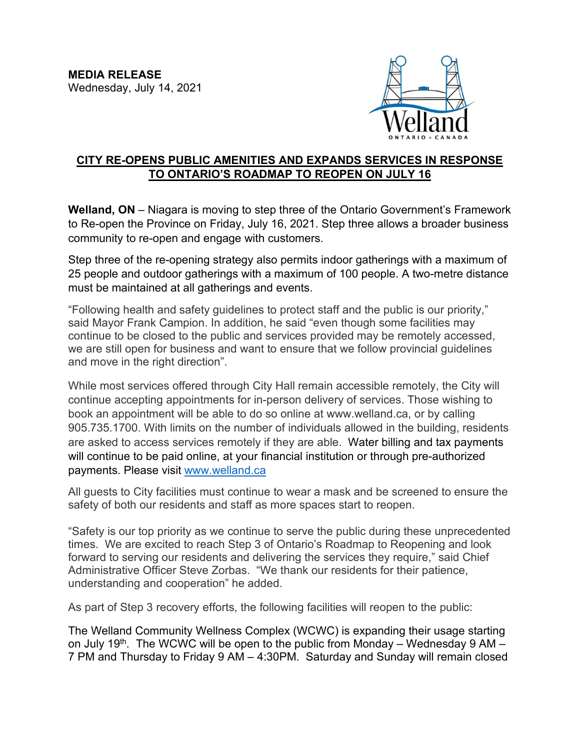

## **CITY RE-OPENS PUBLIC AMENITIES AND EXPANDS SERVICES IN RESPONSE TO ONTARIO'S ROADMAP TO REOPEN ON JULY 16**

**Welland, ON** – Niagara is moving to step three of the Ontario Government's Framework to Re-open the Province on Friday, July 16, 2021. Step three allows a broader business community to re-open and engage with customers.

Step three of the re-opening strategy also permits indoor gatherings with a maximum of 25 people and outdoor gatherings with a maximum of 100 people. A two-metre distance must be maintained at all gatherings and events.

"Following health and safety guidelines to protect staff and the public is our priority," said Mayor Frank Campion. In addition, he said "even though some facilities may continue to be closed to the public and services provided may be remotely accessed, we are still open for business and want to ensure that we follow provincial guidelines and move in the right direction".

While most services offered through City Hall remain accessible remotely, the City will continue accepting appointments for in-person delivery of services. Those wishing to book an appointment will be able to do so online at www.welland.ca, or by calling 905.735.1700. With limits on the number of individuals allowed in the building, residents are asked to access services remotely if they are able. Water billing and tax payments will continue to be paid online, at your financial institution or through pre-authorized payments. Please visit [www.welland.ca](http://www.welland.ca/)

All guests to City facilities must continue to wear a mask and be screened to ensure the safety of both our residents and staff as more spaces start to reopen.

"Safety is our top priority as we continue to serve the public during these unprecedented times. We are excited to reach Step 3 of Ontario's Roadmap to Reopening and look forward to serving our residents and delivering the services they require," said Chief Administrative Officer Steve Zorbas. "We thank our residents for their patience, understanding and cooperation" he added.

As part of Step 3 recovery efforts, the following facilities will reopen to the public:

The Welland Community Wellness Complex (WCWC) is expanding their usage starting on July 19<sup>th</sup>. The WCWC will be open to the public from Monday – Wednesday 9 AM – 7 PM and Thursday to Friday 9 AM – 4:30PM. Saturday and Sunday will remain closed